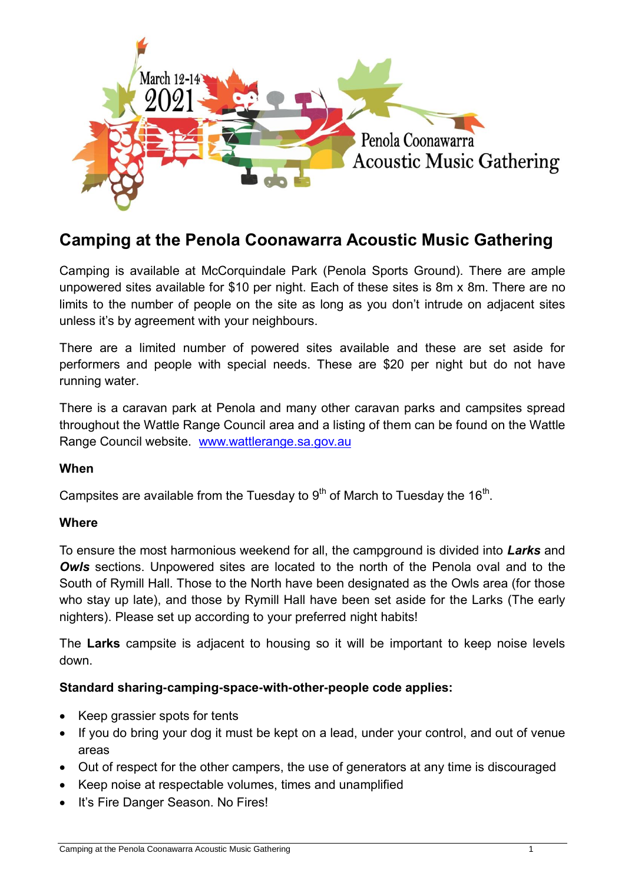

# **Camping at the Penola Coonawarra Acoustic Music Gathering**

Camping is available at McCorquindale Park (Penola Sports Ground). There are ample unpowered sites available for \$10 per night. Each of these sites is 8m x 8m. There are no limits to the number of people on the site as long as you don't intrude on adjacent sites unless it's by agreement with your neighbours.

There are a limited number of powered sites available and these are set aside for performers and people with special needs. These are \$20 per night but do not have running water.

There is a caravan park at Penola and many other caravan parks and campsites spread throughout the Wattle Range Council area and a listing of them can be found on the Wattle Range Council website. [www.wattlerange.sa.gov.au](http://www.wattlerange.sa.gov.au/)

# **When**

Campsites are available from the Tuesday to  $9<sup>th</sup>$  of March to Tuesday the 16<sup>th</sup>.

# **Where**

To ensure the most harmonious weekend for all, the campground is divided into *Larks* and **Owls** sections. Unpowered sites are located to the north of the Penola oval and to the South of Rymill Hall. Those to the North have been designated as the Owls area (for those who stay up late), and those by Rymill Hall have been set aside for the Larks (The early nighters). Please set up according to your preferred night habits!

The **Larks** campsite is adjacent to housing so it will be important to keep noise levels down.

# **Standard sharing-camping-space-with-other-people code applies:**

- Keep grassier spots for tents
- If you do bring your dog it must be kept on a lead, under your control, and out of venue areas
- Out of respect for the other campers, the use of generators at any time is discouraged
- Keep noise at respectable volumes, times and unamplified
- It's Fire Danger Season. No Fires!